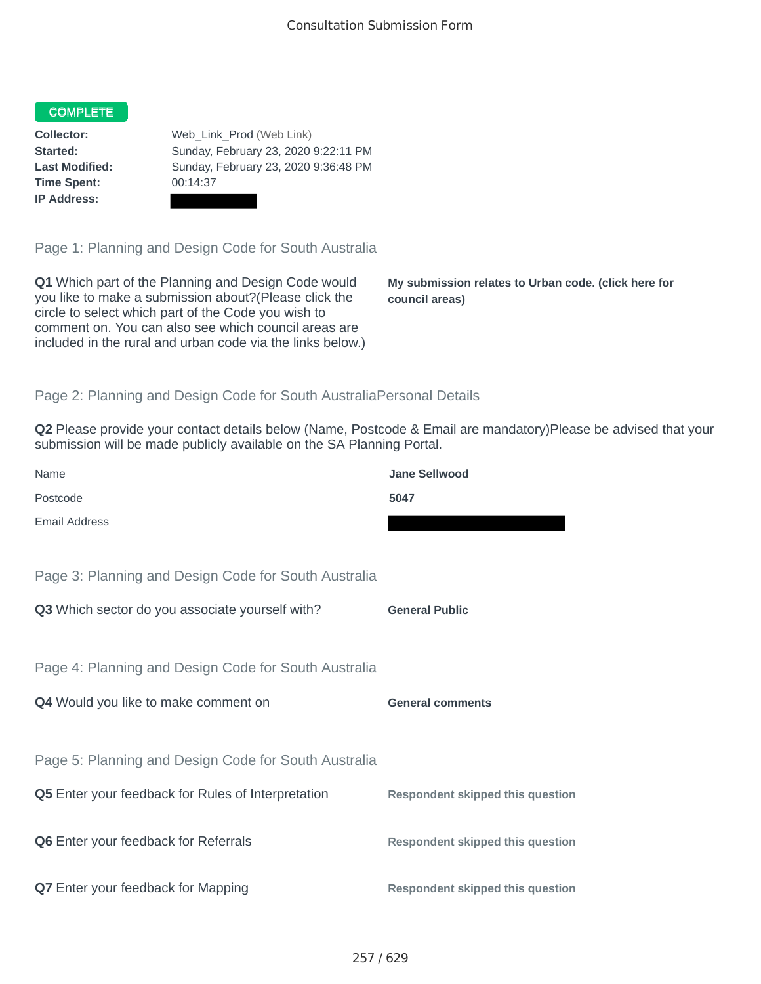## COMPLETE

**Time Spent:** 00:14:37 **IP Address:**

**Collector:** Web\_Link\_Prod (Web Link) **Started:** Sunday, February 23, 2020 9:22:11 PM **Last Modified:** Sunday, February 23, 2020 9:36:48 PM

Page 1: Planning and Design Code for South Australia

**Q1** Which part of the Planning and Design Code would you like to make a submission about?(Please click the circle to select which part of the Code you wish to comment on. You can also see which council areas are included in the rural and urban code via the links below.)

**My submission relates to Urban code. (click here for council areas)**

## Page 2: Planning and Design Code for South AustraliaPersonal Details

**Q2** Please provide your contact details below (Name, Postcode & Email are mandatory)Please be advised that your submission will be made publicly available on the SA Planning Portal.

| Name                                                 | <b>Jane Sellwood</b>                    |
|------------------------------------------------------|-----------------------------------------|
| Postcode                                             | 5047                                    |
| <b>Email Address</b>                                 |                                         |
|                                                      |                                         |
| Page 3: Planning and Design Code for South Australia |                                         |
| Q3 Which sector do you associate yourself with?      | <b>General Public</b>                   |
|                                                      |                                         |
| Page 4: Planning and Design Code for South Australia |                                         |
| Q4 Would you like to make comment on                 | <b>General comments</b>                 |
|                                                      |                                         |
| Page 5: Planning and Design Code for South Australia |                                         |
| Q5 Enter your feedback for Rules of Interpretation   | <b>Respondent skipped this question</b> |
|                                                      |                                         |
| Q6 Enter your feedback for Referrals                 | <b>Respondent skipped this question</b> |
|                                                      |                                         |
| Q7 Enter your feedback for Mapping                   | <b>Respondent skipped this question</b> |